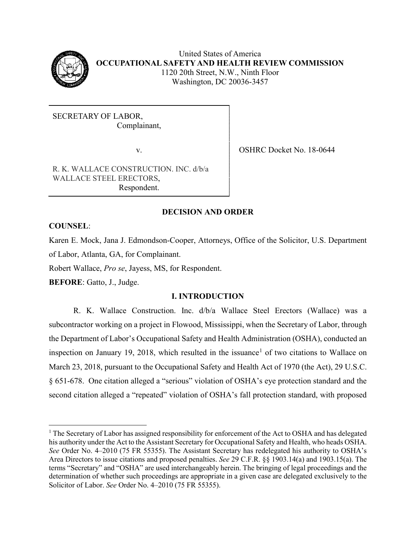

United States of America **OCCUPATIONAL SAFETY AND HEALTH REVIEW COMMISSION** 1120 20th Street, N.W., Ninth Floor Washington, DC 20036-3457

SECRETARY OF LABOR, Complainant,

v. SHRC Docket No. 18-0644

R. K. WALLACE CONSTRUCTION. INC. d/b/a WALLACE STEEL ERECTORS, Respondent.

# **DECISION AND ORDER**

# **COUNSEL**:

 $\overline{\phantom{a}}$ 

Karen E. Mock, Jana J. Edmondson-Cooper, Attorneys, Office of the Solicitor, U.S. Department of Labor, Atlanta, GA, for Complainant.

Robert Wallace, *Pro se*, Jayess, MS, for Respondent.

**BEFORE**: Gatto, J., Judge.

# **I. INTRODUCTION**

R. K. Wallace Construction. Inc. d/b/a Wallace Steel Erectors (Wallace) was a subcontractor working on a project in Flowood, Mississippi, when the Secretary of Labor, through the Department of Labor's Occupational Safety and Health Administration (OSHA), conducted an inspection on January [1](#page-0-0)9, 2018, which resulted in the issuance<sup>1</sup> of two citations to Wallace on March 23, 2018, pursuant to the Occupational Safety and Health Act of 1970 (the Act), 29 U.S.C. § 651-678. One citation alleged a "serious" violation of OSHA's eye protection standard and the second citation alleged a "repeated" violation of OSHA's fall protection standard, with proposed

<span id="page-0-0"></span> $1$  The Secretary of Labor has assigned responsibility for enforcement of the Act to OSHA and has delegated his authority under the Act to the Assistant Secretary for Occupational Safety and Health, who heads OSHA. *See* Order No. 4–2010 (75 FR 55355). The Assistant Secretary has redelegated his authority to OSHA's Area Directors to issue citations and proposed penalties. *See* 29 C.F.R. §§ 1903.14(a) and 1903.15(a). The terms "Secretary" and "OSHA" are used interchangeably herein. The bringing of legal proceedings and the determination of whether such proceedings are appropriate in a given case are delegated exclusively to the Solicitor of Labor. *See* Order No. 4–2010 (75 FR 55355).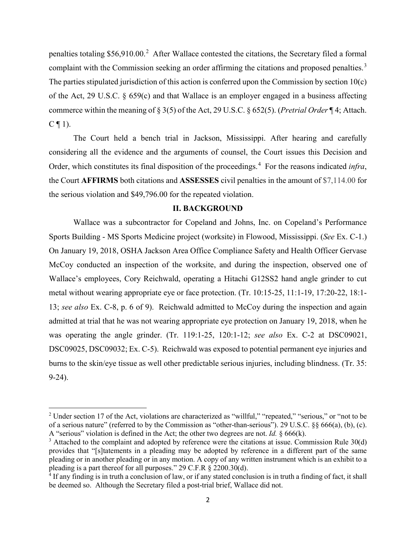penalties totaling \$56,910.00.<sup>[2](#page-1-0)</sup> After Wallace contested the citations, the Secretary filed a formal complaint with the Commission seeking an order affirming the citations and proposed penalties.<sup>[3](#page-1-1)</sup> The parties stipulated jurisdiction of this action is conferred upon the Commission by section 10(c) of the Act, 29 U.S.C. § 659(c) and that Wallace is an employer engaged in a business affecting commerce within the meaning of § 3(5) of the Act, 29 U.S.C. § 652(5). (*Pretrial Order* ¶ 4; Attach.  $C \P 1$ ).

The Court held a bench trial in Jackson, Mississippi. After hearing and carefully considering all the evidence and the arguments of counsel, the Court issues this Decision and Order, which constitutes its final disposition of the proceedings.<sup>[4](#page-1-2)</sup> For the reasons indicated *infra*, the Court **AFFIRMS** both citations and **ASSESSES** civil penalties in the amount of \$7,114.00 for the serious violation and \$49,796.00 for the repeated violation.

#### **II. BACKGROUND**

Wallace was a subcontractor for Copeland and Johns, Inc. on Copeland's Performance Sports Building - MS Sports Medicine project (worksite) in Flowood, Mississippi. (*See* Ex. C-1.) On January 19, 2018, OSHA Jackson Area Office Compliance Safety and Health Officer Gervase McCoy conducted an inspection of the worksite, and during the inspection, observed one of Wallace's employees, Cory Reichwald, operating a Hitachi G12SS2 hand angle grinder to cut metal without wearing appropriate eye or face protection. (Tr. 10:15-25, 11:1-19, 17:20-22, 18:1- 13; *see also* Ex. C-8, p. 6 of 9). Reichwald admitted to McCoy during the inspection and again admitted at trial that he was not wearing appropriate eye protection on January 19, 2018, when he was operating the angle grinder. (Tr. 119:1-25, 120:1-12; *see also* Ex. C-2 at DSC09021, DSC09025, DSC09032; Ex. C-5). Reichwald was exposed to potential permanent eye injuries and burns to the skin/eye tissue as well other predictable serious injuries, including blindness. (Tr. 35: 9-24).

l

<span id="page-1-0"></span><sup>&</sup>lt;sup>2</sup> Under section 17 of the Act, violations are characterized as "willful," "repeated," "serious," or "not to be of a serious nature" (referred to by the Commission as "other-than-serious"). 29 U.S.C. §§ 666(a), (b), (c). A "serious" violation is defined in the Act; the other two degrees are not. *Id.* § 666(k).

<span id="page-1-1"></span><sup>&</sup>lt;sup>3</sup> Attached to the complaint and adopted by reference were the citations at issue. Commission Rule 30(d) provides that "[s]tatements in a pleading may be adopted by reference in a different part of the same pleading or in another pleading or in any motion. A copy of any written instrument which is an exhibit to a pleading is a part thereof for all purposes." 29 C.F.R § 2200.30(d).

<span id="page-1-2"></span> $\frac{4}{1}$  If any finding is in truth a conclusion of law, or if any stated conclusion is in truth a finding of fact, it shall be deemed so. Although the Secretary filed a post-trial brief, Wallace did not.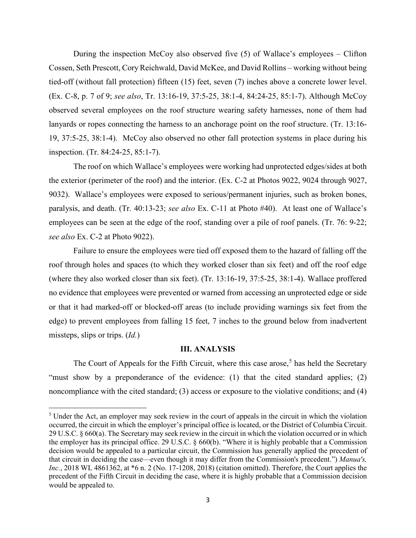During the inspection McCoy also observed five (5) of Wallace's employees – Clifton Cossen, Seth Prescott, Cory Reichwald, David McKee, and David Rollins – working without being tied-off (without fall protection) fifteen (15) feet, seven (7) inches above a concrete lower level. (Ex. C-8, p. 7 of 9; *see also*, Tr. 13:16-19, 37:5-25, 38:1-4, 84:24-25, 85:1-7). Although McCoy observed several employees on the roof structure wearing safety harnesses, none of them had lanyards or ropes connecting the harness to an anchorage point on the roof structure. (Tr. 13:16- 19, 37:5-25, 38:1-4). McCoy also observed no other fall protection systems in place during his inspection. (Tr. 84:24-25, 85:1-7).

The roof on which Wallace's employees were working had unprotected edges/sides at both the exterior (perimeter of the roof) and the interior. (Ex. C-2 at Photos 9022, 9024 through 9027, 9032). Wallace's employees were exposed to serious/permanent injuries, such as broken bones, paralysis, and death. (Tr. 40:13-23; *see also* Ex. C-11 at Photo #40). At least one of Wallace's employees can be seen at the edge of the roof, standing over a pile of roof panels. (Tr. 76: 9-22; *see also* Ex. C-2 at Photo 9022).

Failure to ensure the employees were tied off exposed them to the hazard of falling off the roof through holes and spaces (to which they worked closer than six feet) and off the roof edge (where they also worked closer than six feet). (Tr. 13:16-19, 37:5-25, 38:1-4). Wallace proffered no evidence that employees were prevented or warned from accessing an unprotected edge or side or that it had marked-off or blocked-off areas (to include providing warnings six feet from the edge) to prevent employees from falling 15 feet, 7 inches to the ground below from inadvertent missteps, slips or trips. (*Id.*)

## **III. ANALYSIS**

The Court of Appeals for the Fifth Circuit, where this case arose,<sup>[5](#page-2-0)</sup> has held the Secretary "must show by a preponderance of the evidence: (1) that the cited standard applies; (2) noncompliance with the cited standard; (3) access or exposure to the violative conditions; and (4)

l

<span id="page-2-0"></span><sup>&</sup>lt;sup>5</sup> Under the Act, an employer may seek review in the court of appeals in the circuit in which the violation occurred, the circuit in which the employer's principal office is located, or the District of Columbia Circuit. 29 U.S.C. § 660(a). The Secretary may seek review in the circuit in which the violation occurred or in which the employer has its principal office. 29 U.S.C. § 660(b). "Where it is highly probable that a Commission decision would be appealed to a particular circuit, the Commission has generally applied the precedent of that circuit in deciding the case—even though it may differ from the Commission's precedent.") *Manua's, Inc.*, 2018 WL 4861362, at \*6 n. 2 (No. 17-1208, 2018) (citation omitted). Therefore, the Court applies the precedent of the Fifth Circuit in deciding the case, where it is highly probable that a Commission decision would be appealed to.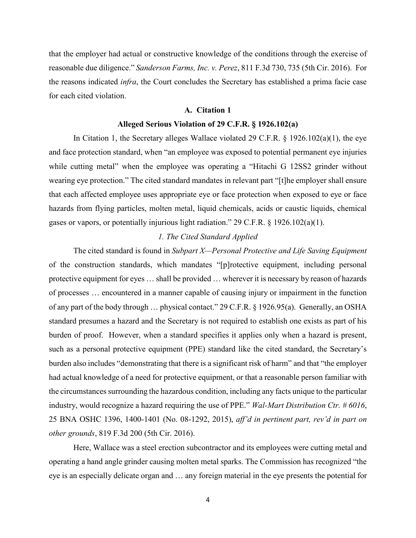that the employer had actual or constructive knowledge of the conditions through the exercise of reasonable due diligence." *Sanderson Farms, Inc. v. Perez*, 811 F.3d 730, 735 (5th Cir. 2016). For the reasons indicated *infra*, the Court concludes the Secretary has established a prima facie case for each cited violation.

#### **A. Citation 1**

## **Alleged Serious Violation of 29 C.F.R. § 1926.102(a)**

In Citation 1, the Secretary alleges Wallace violated 29 C.F.R. § 1926.102(a)(1), the eye and face protection standard, when "an employee was exposed to potential permanent eye injuries while cutting metal" when the employee was operating a "Hitachi G 12SS2 grinder without wearing eye protection." The cited standard mandates in relevant part "[t]he employer shall ensure that each affected employee uses appropriate eye or face protection when exposed to eye or face hazards from flying particles, molten metal, liquid chemicals, acids or caustic liquids, chemical gases or vapors, or potentially injurious light radiation." 29 C.F.R. § 1926.102(a)(1).

# *1. The Cited Standard Applied*

The cited standard is found in *Subpart X—Personal Protective and Life Saving Equipment* of the construction standards, which mandates "[p]rotective equipment, including personal protective equipment for eyes … shall be provided … wherever it is necessary by reason of hazards of processes … encountered in a manner capable of causing injury or impairment in the function of any part of the body through … physical contact." 29 C.F.R. § 1926.95(a). Generally, an OSHA standard presumes a hazard and the Secretary is not required to establish one exists as part of his burden of proof. However, when a standard specifies it applies only when a hazard is present, such as a personal protective equipment (PPE) standard like the cited standard, the Secretary's burden also includes "demonstrating that there is a significant risk of harm" and that "the employer had actual knowledge of a need for protective equipment, or that a reasonable person familiar with the circumstances surrounding the hazardous condition, including any facts unique to the particular industry, would recognize a hazard requiring the use of PPE." *Wal-Mart Distribution Ctr. # 6016*, 25 BNA OSHC 1396, 1400-1401 (No. 08-1292, 2015), *aff'd in pertinent part, rev'd in part on other grounds*, 819 F.3d 200 (5th Cir. 2016).

Here, Wallace was a steel erection subcontractor and its employees were cutting metal and operating a hand angle grinder causing molten metal sparks. The Commission has recognized "the eye is an especially delicate organ and … any foreign material in the eye presents the potential for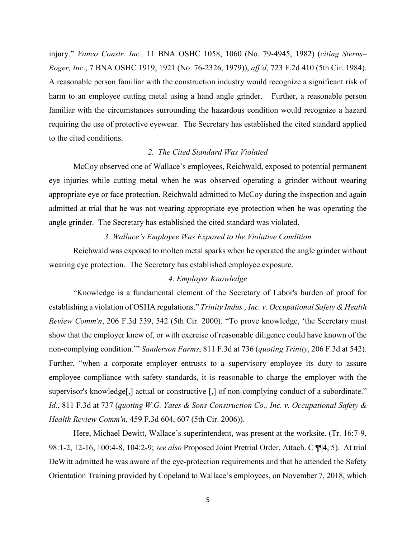injury." *Vanco Constr. Inc.,* 11 BNA OSHC 1058, 1060 (No. 79-4945, 1982) (*citing Sterns– Roger, Inc*., 7 BNA OSHC 1919, 1921 (No. 76-2326, 1979)), *aff'd*, 723 F.2d 410 (5th Cir. 1984). A reasonable person familiar with the construction industry would recognize a significant risk of harm to an employee cutting metal using a hand angle grinder. Further, a reasonable person familiar with the circumstances surrounding the hazardous condition would recognize a hazard requiring the use of protective eyewear. The Secretary has established the cited standard applied to the cited conditions.

#### *2. The Cited Standard Was Violated*

McCoy observed one of Wallace's employees, Reichwald, exposed to potential permanent eye injuries while cutting metal when he was observed operating a grinder without wearing appropriate eye or face protection. Reichwald admitted to McCoy during the inspection and again admitted at trial that he was not wearing appropriate eye protection when he was operating the angle grinder. The Secretary has established the cited standard was violated.

#### *3. Wallace's Employee Was Exposed to the Violative Condition*

Reichwald was exposed to molten metal sparks when he operated the angle grinder without wearing eye protection. The Secretary has established employee exposure.

## *4. Employer Knowledge*

 "Knowledge is a fundamental element of the Secretary of Labor's burden of proof for establishing a violation of OSHA regulations." *Trinity Indus., Inc. v. Occupational Safety & Health Review Comm'n*, 206 F.3d 539, 542 (5th Cir. 2000). "To prove knowledge, 'the Secretary must show that the employer knew of, or with exercise of reasonable diligence could have known of the non-complying condition.'" *Sanderson Farms*, 811 F.3d at 736 (*quoting Trinity*, 206 F.3d at 542). Further, "when a corporate employer entrusts to a supervisory employee its duty to assure employee compliance with safety standards, it is reasonable to charge the employer with the supervisor's knowledge[,] actual or constructive [,] of non-complying conduct of a subordinate." *Id.*, 811 F.3d at 737 (*quoting W.G. Yates & Sons Construction Co., Inc. v. Occupational Safety & Health Review Comm'n*, 459 F.3d 604, 607 (5th Cir. 2006)).

Here, Michael Dewitt, Wallace's superintendent, was present at the worksite. (Tr. 16:7-9, 98:1-2, 12-16, 100:4-8, 104:2-9; *see also* Proposed Joint Pretrial Order, Attach. C ¶¶4, 5). At trial DeWitt admitted he was aware of the eye-protection requirements and that he attended the Safety Orientation Training provided by Copeland to Wallace's employees, on November 7, 2018, which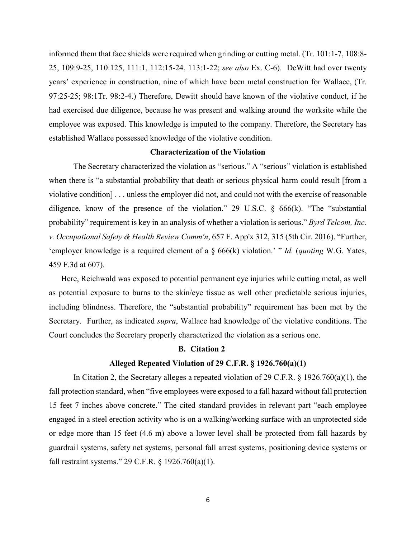informed them that face shields were required when grinding or cutting metal. (Tr. 101:1-7, 108:8- 25, 109:9-25, 110:125, 111:1, 112:15-24, 113:1-22; *see also* Ex. C-6). DeWitt had over twenty years' experience in construction, nine of which have been metal construction for Wallace, (Tr. 97:25-25; 98:1Tr. 98:2-4.) Therefore, Dewitt should have known of the violative conduct, if he had exercised due diligence, because he was present and walking around the worksite while the employee was exposed. This knowledge is imputed to the company. Therefore, the Secretary has established Wallace possessed knowledge of the violative condition.

#### **Characterization of the Violation**

The Secretary characterized the violation as "serious." A "serious" violation is established when there is "a substantial probability that death or serious physical harm could result [from a violative condition] . . . unless the employer did not, and could not with the exercise of reasonable diligence, know of the presence of the violation." 29 U.S.C. § 666(k). "The "substantial probability" requirement is key in an analysis of whether a violation is serious." *Byrd Telcom, Inc. v. Occupational Safety & Health Review Comm'n*, 657 F. App'x 312, 315 (5th Cir. 2016). "Further, 'employer knowledge is a required element of a § 666(k) violation.' " *Id.* (*quoting* W.G. Yates, 459 F.3d at 607).

Here, Reichwald was exposed to potential permanent eye injuries while cutting metal, as well as potential exposure to burns to the skin/eye tissue as well other predictable serious injuries, including blindness. Therefore, the "substantial probability" requirement has been met by the Secretary. Further, as indicated *supra*, Wallace had knowledge of the violative conditions. The Court concludes the Secretary properly characterized the violation as a serious one.

## **B. Citation 2**

#### **Alleged Repeated Violation of 29 C.F.R. § 1926.760(a)(1)**

In Citation 2, the Secretary alleges a repeated violation of 29 C.F.R. § 1926.760(a)(1), the fall protection standard, when "five employees were exposed to a fall hazard without fall protection 15 feet 7 inches above concrete." The cited standard provides in relevant part "each employee engaged in a steel erection activity who is on a walking/working surface with an unprotected side or edge more than 15 feet (4.6 m) above a lower level shall be protected from fall hazards by guardrail systems, safety net systems, personal fall arrest systems, positioning device systems or fall restraint systems." 29 C.F.R. § 1926.760(a)(1).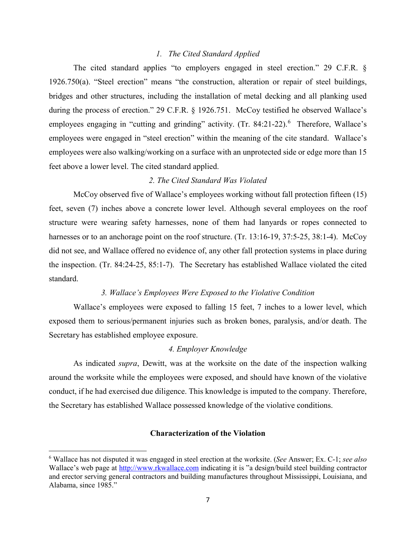## *1. The Cited Standard Applied*

The cited standard applies "to employers engaged in steel erection." 29 C.F.R. § 1926.750(a). "Steel erection" means "the construction, alteration or repair of steel buildings, bridges and other structures, including the installation of metal decking and all planking used during the process of erection." 29 C.F.R. § 1926.751. McCoy testified he observed Wallace's employees engaging in "cutting and grinding" activity. (Tr. 84:21-22).<sup>[6](#page-6-0)</sup> Therefore, Wallace's employees were engaged in "steel erection" within the meaning of the cite standard. Wallace's employees were also walking/working on a surface with an unprotected side or edge more than 15 feet above a lower level. The cited standard applied.

#### *2. The Cited Standard Was Violated*

McCoy observed five of Wallace's employees working without fall protection fifteen (15) feet, seven (7) inches above a concrete lower level. Although several employees on the roof structure were wearing safety harnesses, none of them had lanyards or ropes connected to harnesses or to an anchorage point on the roof structure. (Tr. 13:16-19, 37:5-25, 38:1-4). McCoy did not see, and Wallace offered no evidence of, any other fall protection systems in place during the inspection. (Tr. 84:24-25, 85:1-7). The Secretary has established Wallace violated the cited standard.

## *3. Wallace's Employees Were Exposed to the Violative Condition*

Wallace's employees were exposed to falling 15 feet, 7 inches to a lower level, which exposed them to serious/permanent injuries such as broken bones, paralysis, and/or death. The Secretary has established employee exposure.

# *4. Employer Knowledge*

As indicated *supra*, Dewitt, was at the worksite on the date of the inspection walking around the worksite while the employees were exposed, and should have known of the violative conduct, if he had exercised due diligence. This knowledge is imputed to the company. Therefore, the Secretary has established Wallace possessed knowledge of the violative conditions.

# **Characterization of the Violation**

 $\overline{a}$ 

<span id="page-6-0"></span><sup>6</sup> Wallace has not disputed it was engaged in steel erection at the worksite. (*See* Answer; Ex. C-1; *see also*  Wallace's web page at http://www.rkwallace.com indicating it is "a design/build steel building contractor and erector serving general contractors and building manufactures throughout Mississippi, Louisiana, and Alabama, since 1985."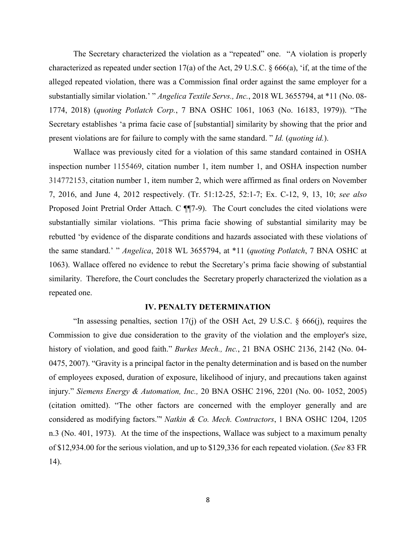The Secretary characterized the violation as a "repeated" one. "A violation is properly characterized as repeated under section 17(a) of the Act, 29 U.S.C. § 666(a), 'if, at the time of the alleged repeated violation, there was a Commission final order against the same employer for a substantially similar violation.' " *Angelica Textile Servs., Inc.*, 2018 WL 3655794, at \*11 (No. 08- 1774, 2018) (*quoting Potlatch Corp.*, 7 BNA OSHC 1061, 1063 (No. 16183, 1979)). "The Secretary establishes 'a prima facie case of [substantial] similarity by showing that the prior and present violations are for failure to comply with the same standard. " *Id.* (*quoting id.*).

Wallace was previously cited for a violation of this same standard contained in OSHA inspection number 1155469, citation number 1, item number 1, and OSHA inspection number 314772153, citation number 1, item number 2, which were affirmed as final orders on November 7, 2016, and June 4, 2012 respectively. (Tr. 51:12-25, 52:1-7; Ex. C-12, 9, 13, 10; *see also* Proposed Joint Pretrial Order Attach. C  $\P$ [7-9). The Court concludes the cited violations were substantially similar violations. "This prima facie showing of substantial similarity may be rebutted 'by evidence of the disparate conditions and hazards associated with these violations of the same standard.' " *Angelica*, 2018 WL 3655794, at \*11 (*quoting Potlatch*, 7 BNA OSHC at 1063). Wallace offered no evidence to rebut the Secretary's prima facie showing of substantial similarity. Therefore, the Court concludes the Secretary properly characterized the violation as a repeated one.

# **IV. PENALTY DETERMINATION**

"In assessing penalties, section 17(j) of the OSH Act, 29 U.S.C.  $\S$  666(j), requires the Commission to give due consideration to the gravity of the violation and the employer's size, history of violation, and good faith." *Burkes Mech., Inc.*, 21 BNA OSHC 2136, 2142 (No. 04- 0475, 2007). "Gravity is a principal factor in the penalty determination and is based on the number of employees exposed, duration of exposure, likelihood of injury, and precautions taken against injury." *Siemens Energy & Automation, Inc.,* 20 BNA OSHC 2196, 2201 (No. 00- 1052, 2005) (citation omitted). "The other factors are concerned with the employer generally and are considered as modifying factors."' *Natkin & Co. Mech. Contractors*, 1 BNA OSHC 1204, 1205 n.3 (No. 401, 1973). At the time of the inspections, Wallace was subject to a maximum penalty of \$12,934.00 for the serious violation, and up to \$129,336 for each repeated violation. (*See* 83 FR 14).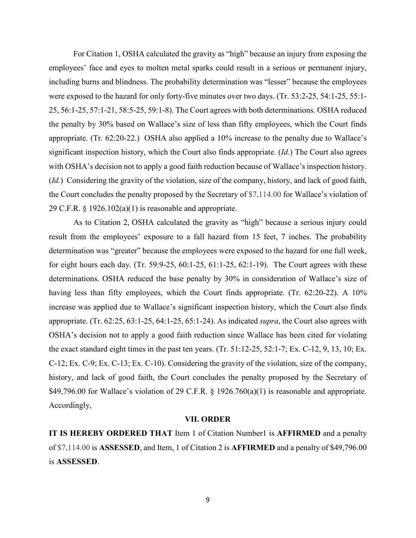For Citation 1, OSHA calculated the gravity as "high" because an injury from exposing the employees' face and eyes to molten metal sparks could result in a serious or permanent injury, including burns and blindness. The probability determination was "lesser" because the employees were exposed to the hazard for only forty-five minutes over two days. (Tr. 53:2-25, 54:1-25, 55:1- 25, 56:1-25, 57:1-21, 58:5-25, 59:1-8). The Court agrees with both determinations. OSHA reduced the penalty by 30% based on Wallace's size of less than fifty employees, which the Court finds appropriate. (Tr. 62:20-22.) OSHA also applied a 10% increase to the penalty due to Wallace's significant inspection history, which the Court also finds appropriate. (*Id.*) The Court also agrees with OSHA's decision not to apply a good faith reduction because of Wallace's inspection history. (*Id.*) Considering the gravity of the violation, size of the company, history, and lack of good faith, the Court concludes the penalty proposed by the Secretary of \$7,114.00 for Wallace's violation of 29 C.F.R.  $\S$  1926.102(a)(1) is reasonable and appropriate.

As to Citation 2, OSHA calculated the gravity as "high" because a serious injury could result from the employees' exposure to a fall hazard from 15 feet, 7 inches. The probability determination was "greater" because the employees were exposed to the hazard for one full week, for eight hours each day. (Tr. 59:9-25, 60:1-25, 61:1-25, 62:1-19). The Court agrees with these determinations. OSHA reduced the base penalty by 30% in consideration of Wallace's size of having less than fifty employees, which the Court finds appropriate. (Tr. 62:20-22). A 10% increase was applied due to Wallace's significant inspection history, which the Court also finds appropriate. (Tr. 62:25, 63:1-25, 64:1-25, 65:1-24). As indicated *supra*, the Court also agrees with OSHA's decision not to apply a good faith reduction since Wallace has been cited for violating the exact standard eight times in the past ten years. (Tr. 51:12-25, 52:1-7; Ex. C-12, 9, 13, 10; Ex. C-12; Ex. C-9; Ex. C-13; Ex. C-10). Considering the gravity of the violation, size of the company, history, and lack of good faith, the Court concludes the penalty proposed by the Secretary of \$49,796.00 for Wallace's violation of 29 C.F.R.  $\S$  1926.760(a)(1) is reasonable and appropriate. Accordingly,

# **VII. ORDER**

**IT IS HEREBY ORDERED THAT** Item 1 of Citation Number1 is **AFFIRMED** and a penalty of \$7,114.00 is **ASSESSED**, and Item, 1 of Citation 2 is **AFFIRMED** and a penalty of \$49,796.00 is **ASSESSED**.